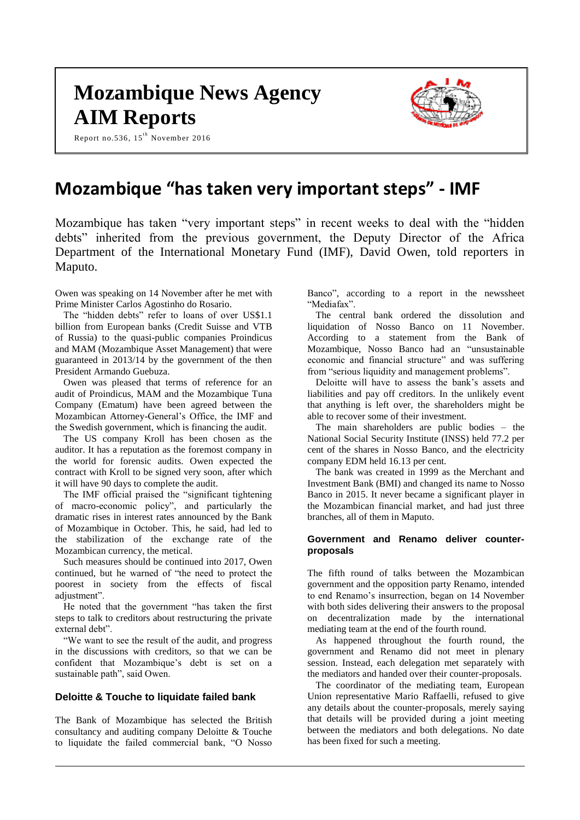# **Mozambique News Agency AIM Reports**

Report no.536,  $15^{th}$  November 2016



# **Mozambique "has taken very important steps" - IMF**

Mozambique has taken "very important steps" in recent weeks to deal with the "hidden debts" inherited from the previous government, the Deputy Director of the Africa Department of the International Monetary Fund (IMF), David Owen, told reporters in Maputo.

Owen was speaking on 14 November after he met with Prime Minister Carlos Agostinho do Rosario.

The "hidden debts" refer to loans of over US\$1.1 billion from European banks (Credit Suisse and VTB of Russia) to the quasi-public companies Proindicus and MAM (Mozambique Asset Management) that were guaranteed in 2013/14 by the government of the then President Armando Guebuza.

Owen was pleased that terms of reference for an audit of Proindicus, MAM and the Mozambique Tuna Company (Ematum) have been agreed between the Mozambican Attorney-General's Office, the IMF and the Swedish government, which is financing the audit.

The US company Kroll has been chosen as the auditor. It has a reputation as the foremost company in the world for forensic audits. Owen expected the contract with Kroll to be signed very soon, after which it will have 90 days to complete the audit.

The IMF official praised the "significant tightening of macro-economic policy", and particularly the dramatic rises in interest rates announced by the Bank of Mozambique in October. This, he said, had led to the stabilization of the exchange rate of the Mozambican currency, the metical.

Such measures should be continued into 2017, Owen continued, but he warned of "the need to protect the poorest in society from the effects of fiscal adjustment".

He noted that the government "has taken the first steps to talk to creditors about restructuring the private external debt".

"We want to see the result of the audit, and progress in the discussions with creditors, so that we can be confident that Mozambique's debt is set on a sustainable path", said Owen.

## **Deloitte & Touche to liquidate failed bank**

The Bank of Mozambique has selected the British consultancy and auditing company Deloitte & Touche to liquidate the failed commercial bank, "O Nosso

Banco", according to a report in the newssheet "Mediafax".

The central bank ordered the dissolution and liquidation of Nosso Banco on 11 November. According to a statement from the Bank of Mozambique, Nosso Banco had an "unsustainable economic and financial structure" and was suffering from "serious liquidity and management problems".

Deloitte will have to assess the bank's assets and liabilities and pay off creditors. In the unlikely event that anything is left over, the shareholders might be able to recover some of their investment.

The main shareholders are public bodies – the National Social Security Institute (INSS) held 77.2 per cent of the shares in Nosso Banco, and the electricity company EDM held 16.13 per cent.

The bank was created in 1999 as the Merchant and Investment Bank (BMI) and changed its name to Nosso Banco in 2015. It never became a significant player in the Mozambican financial market, and had just three branches, all of them in Maputo.

#### **Government and Renamo deliver counterproposals**

The fifth round of talks between the Mozambican government and the opposition party Renamo, intended to end Renamo's insurrection, began on 14 November with both sides delivering their answers to the proposal on decentralization made by the international mediating team at the end of the fourth round.

As happened throughout the fourth round, the government and Renamo did not meet in plenary session. Instead, each delegation met separately with the mediators and handed over their counter-proposals.

The coordinator of the mediating team, European Union representative Mario Raffaelli, refused to give any details about the counter-proposals, merely saying that details will be provided during a joint meeting between the mediators and both delegations. No date has been fixed for such a meeting.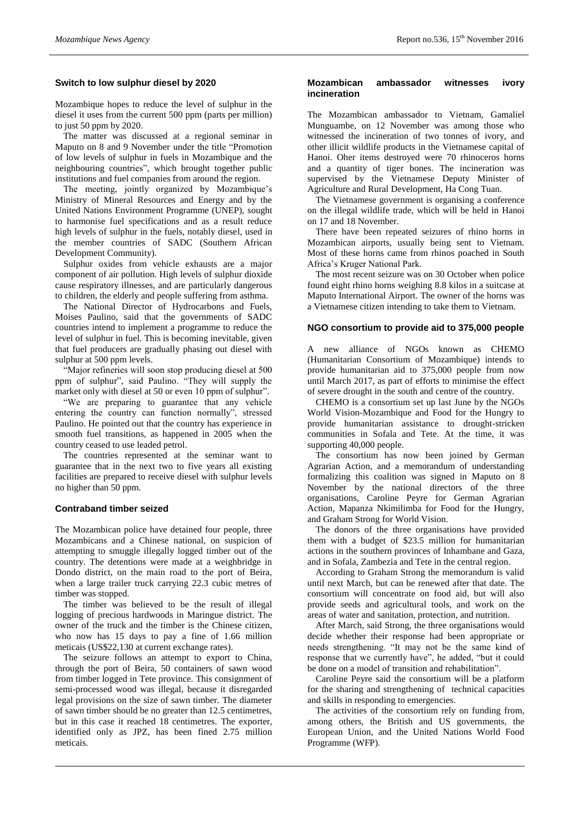## **Switch to low sulphur diesel by 2020**

Mozambique hopes to reduce the level of sulphur in the diesel it uses from the current 500 ppm (parts per million) to just 50 ppm by 2020.

The matter was discussed at a regional seminar in Maputo on 8 and 9 November under the title "Promotion of low levels of sulphur in fuels in Mozambique and the neighbouring countries", which brought together public institutions and fuel companies from around the region.

The meeting, jointly organized by Mozambique's Ministry of Mineral Resources and Energy and by the United Nations Environment Programme (UNEP), sought to harmonise fuel specifications and as a result reduce high levels of sulphur in the fuels, notably diesel, used in the member countries of SADC (Southern African Development Community).

Sulphur oxides from vehicle exhausts are a major component of air pollution. High levels of sulphur dioxide cause respiratory illnesses, and are particularly dangerous to children, the elderly and people suffering from asthma.

The National Director of Hydrocarbons and Fuels, Moises Paulino, said that the governments of SADC countries intend to implement a programme to reduce the level of sulphur in fuel. This is becoming inevitable, given that fuel producers are gradually phasing out diesel with sulphur at 500 ppm levels.

"Major refineries will soon stop producing diesel at 500 ppm of sulphur", said Paulino. "They will supply the market only with diesel at 50 or even 10 ppm of sulphur".

"We are preparing to guarantee that any vehicle entering the country can function normally", stressed Paulino. He pointed out that the country has experience in smooth fuel transitions, as happened in 2005 when the country ceased to use leaded petrol.

The countries represented at the seminar want to guarantee that in the next two to five years all existing facilities are prepared to receive diesel with sulphur levels no higher than 50 ppm.

#### **Contraband timber seized**

The Mozambican police have detained four people, three Mozambicans and a Chinese national, on suspicion of attempting to smuggle illegally logged timber out of the country. The detentions were made at a weighbridge in Dondo district, on the main road to the port of Beira, when a large trailer truck carrying 22.3 cubic metres of timber was stopped.

The timber was believed to be the result of illegal logging of precious hardwoods in Maringue district. The owner of the truck and the timber is the Chinese citizen, who now has 15 days to pay a fine of 1.66 million meticais (US\$22,130 at current exchange rates).

The seizure follows an attempt to export to China, through the port of Beira, 50 containers of sawn wood from timber logged in Tete province. This consignment of semi-processed wood was illegal, because it disregarded legal provisions on the size of sawn timber. The diameter of sawn timber should be no greater than 12.5 centimetres, but in this case it reached 18 centimetres. The exporter, identified only as JPZ, has been fined 2.75 million meticais.

#### **Mozambican ambassador witnesses ivory incineration**

The Mozambican ambassador to Vietnam, Gamaliel Munguambe, on 12 November was among those who witnessed the incineration of two tonnes of ivory, and other illicit wildlife products in the Vietnamese capital of Hanoi. Oher items destroyed were 70 rhinoceros horns and a quantity of tiger bones. The incineration was supervised by the Vietnamese Deputy Minister of Agriculture and Rural Development, Ha Cong Tuan.

The Vietnamese government is organising a conference on the illegal wildlife trade, which will be held in Hanoi on 17 and 18 November.

There have been repeated seizures of rhino horns in Mozambican airports, usually being sent to Vietnam. Most of these horns came from rhinos poached in South Africa's Kruger National Park.

The most recent seizure was on 30 October when police found eight rhino horns weighing 8.8 kilos in a suitcase at Maputo International Airport. The owner of the horns was a Vietnamese citizen intending to take them to Vietnam.

#### **NGO consortium to provide aid to 375,000 people**

A new alliance of NGOs known as CHEMO (Humanitarian Consortium of Mozambique) intends to provide humanitarian aid to 375,000 people from now until March 2017, as part of efforts to minimise the effect of severe drought in the south and centre of the country.

CHEMO is a consortium set up last June by the NGOs World Vision-Mozambique and Food for the Hungry to provide humanitarian assistance to drought-stricken communities in Sofala and Tete. At the time, it was supporting 40,000 people.

The consortium has now been joined by German Agrarian Action, and a memorandum of understanding formalizing this coalition was signed in Maputo on 8 November by the national directors of the three organisations, Caroline Peyre for German Agrarian Action, Mapanza Nkimilimba for Food for the Hungry, and Graham Strong for World Vision.

The donors of the three organisations have provided them with a budget of \$23.5 million for humanitarian actions in the southern provinces of Inhambane and Gaza, and in Sofala, Zambezia and Tete in the central region.

According to Graham Strong the memorandum is valid until next March, but can be renewed after that date. The consortium will concentrate on food aid, but will also provide seeds and agricultural tools, and work on the areas of water and sanitation, protection, and nutrition.

After March, said Strong, the three organisations would decide whether their response had been appropriate or needs strengthening. "It may not be the same kind of response that we currently have", he added, "but it could be done on a model of transition and rehabilitation".

Caroline Peyre said the consortium will be a platform for the sharing and strengthening of technical capacities and skills in responding to emergencies.

The activities of the consortium rely on funding from, among others, the British and US governments, the European Union, and the United Nations World Food Programme (WFP).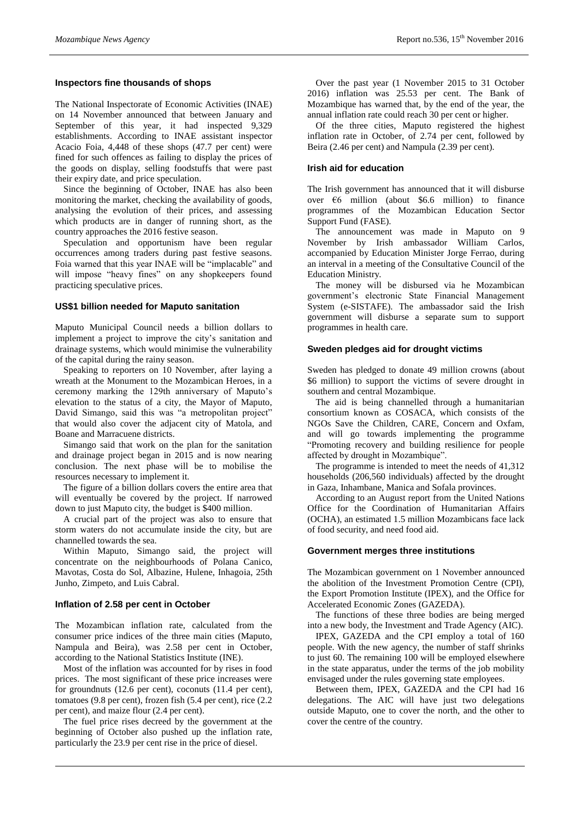#### **Inspectors fine thousands of shops**

The National Inspectorate of Economic Activities (INAE) on 14 November announced that between January and September of this year, it had inspected 9,329 establishments. According to INAE assistant inspector Acacio Foia, 4,448 of these shops (47.7 per cent) were fined for such offences as failing to display the prices of the goods on display, selling foodstuffs that were past their expiry date, and price speculation.

Since the beginning of October, INAE has also been monitoring the market, checking the availability of goods, analysing the evolution of their prices, and assessing which products are in danger of running short, as the country approaches the 2016 festive season.

Speculation and opportunism have been regular occurrences among traders during past festive seasons. Foia warned that this year INAE will be "implacable" and will impose "heavy fines" on any shopkeepers found practicing speculative prices.

#### **US\$1 billion needed for Maputo sanitation**

Maputo Municipal Council needs a billion dollars to implement a project to improve the city's sanitation and drainage systems, which would minimise the vulnerability of the capital during the rainy season.

Speaking to reporters on 10 November, after laying a wreath at the Monument to the Mozambican Heroes, in a ceremony marking the 129th anniversary of Maputo's elevation to the status of a city, the Mayor of Maputo, David Simango, said this was "a metropolitan project" that would also cover the adjacent city of Matola, and Boane and Marracuene districts.

Simango said that work on the plan for the sanitation and drainage project began in 2015 and is now nearing conclusion. The next phase will be to mobilise the resources necessary to implement it.

The figure of a billion dollars covers the entire area that will eventually be covered by the project. If narrowed down to just Maputo city, the budget is \$400 million.

A crucial part of the project was also to ensure that storm waters do not accumulate inside the city, but are channelled towards the sea.

Within Maputo, Simango said, the project will concentrate on the neighbourhoods of Polana Canico, Mavotas, Costa do Sol, Albazine, Hulene, Inhagoia, 25th Junho, Zimpeto, and Luis Cabral.

#### **Inflation of 2.58 per cent in October**

The Mozambican inflation rate, calculated from the consumer price indices of the three main cities (Maputo, Nampula and Beira), was 2.58 per cent in October, according to the National Statistics Institute (INE).

Most of the inflation was accounted for by rises in food prices. The most significant of these price increases were for groundnuts (12.6 per cent), coconuts (11.4 per cent), tomatoes (9.8 per cent), frozen fish (5.4 per cent), rice (2.2 per cent), and maize flour (2.4 per cent).

The fuel price rises decreed by the government at the beginning of October also pushed up the inflation rate, particularly the 23.9 per cent rise in the price of diesel.

Over the past year (1 November 2015 to 31 October 2016) inflation was 25.53 per cent. The Bank of Mozambique has warned that, by the end of the year, the annual inflation rate could reach 30 per cent or higher.

Of the three cities, Maputo registered the highest inflation rate in October, of 2.74 per cent, followed by Beira (2.46 per cent) and Nampula (2.39 per cent).

#### **Irish aid for education**

The Irish government has announced that it will disburse over  $\epsilon$ 6 million (about \$6.6 million) to finance programmes of the Mozambican Education Sector Support Fund (FASE).

The announcement was made in Maputo on 9 November by Irish ambassador William Carlos, accompanied by Education Minister Jorge Ferrao, during an interval in a meeting of the Consultative Council of the Education Ministry.

The money will be disbursed via he Mozambican government's electronic State Financial Management System (e-SISTAFE). The ambassador said the Irish government will disburse a separate sum to support programmes in health care.

#### **Sweden pledges aid for drought victims**

Sweden has pledged to donate 49 million crowns (about \$6 million) to support the victims of severe drought in southern and central Mozambique.

The aid is being channelled through a humanitarian consortium known as COSACA, which consists of the NGOs Save the Children, CARE, Concern and Oxfam, and will go towards implementing the programme "Promoting recovery and building resilience for people affected by drought in Mozambique".

The programme is intended to meet the needs of 41,312 households (206,560 individuals) affected by the drought in Gaza, Inhambane, Manica and Sofala provinces.

According to an August report from the United Nations Office for the Coordination of Humanitarian Affairs (OCHA), an estimated 1.5 million Mozambicans face lack of food security, and need food aid.

#### **Government merges three institutions**

The Mozambican government on 1 November announced the abolition of the Investment Promotion Centre (CPI), the Export Promotion Institute (IPEX), and the Office for Accelerated Economic Zones (GAZEDA).

The functions of these three bodies are being merged into a new body, the Investment and Trade Agency (AIC).

IPEX, GAZEDA and the CPI employ a total of 160 people. With the new agency, the number of staff shrinks to just 60. The remaining 100 will be employed elsewhere in the state apparatus, under the terms of the job mobility envisaged under the rules governing state employees.

Between them, IPEX, GAZEDA and the CPI had 16 delegations. The AIC will have just two delegations outside Maputo, one to cover the north, and the other to cover the centre of the country.